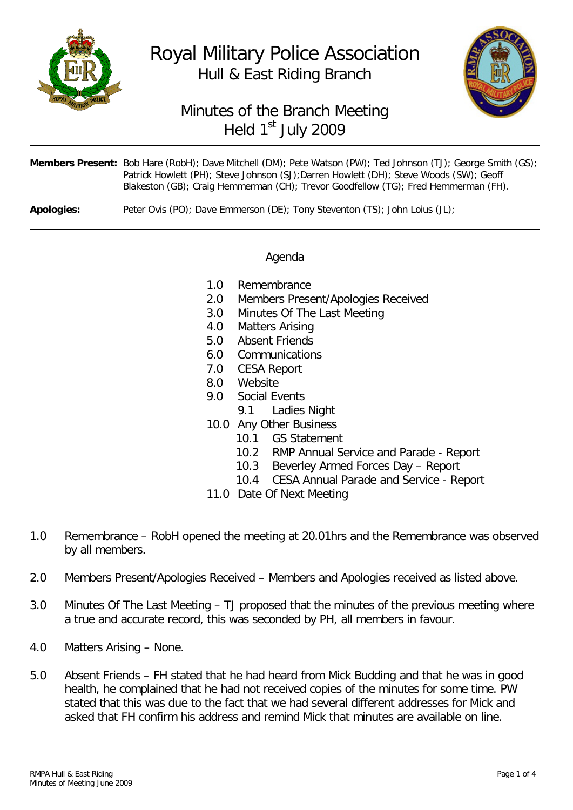

Royal Military Police Association Hull & East Riding Branch



# Minutes of the Branch Meeting Held 1<sup>st</sup> July 2009

|            | Members Present: Bob Hare (RobH); Dave Mitchell (DM); Pete Watson (PW); Ted Johnson (TJ); George Smith (GS);<br>Patrick Howlett (PH); Steve Johnson (SJ); Darren Howlett (DH); Steve Woods (SW); Geoff<br>Blakeston (GB); Craig Hemmerman (CH); Trevor Goodfellow (TG); Fred Hemmerman (FH). |
|------------|----------------------------------------------------------------------------------------------------------------------------------------------------------------------------------------------------------------------------------------------------------------------------------------------|
| Apologies: | Peter Ovis (PO): Dave Emmerson (DE): Tony Steventon (TS): John Loius (JL):                                                                                                                                                                                                                   |

## Agenda

- 1.0 Remembrance
- 2.0 Members Present/Apologies Received
- 3.0 Minutes Of The Last Meeting
- 4.0 Matters Arising
- 5.0 Absent Friends
- 6.0 Communications
- 7.0 CESA Report
- 8.0 Website
- 9.0 Social Events
	- 9.1 Ladies Night
- 10.0 Any Other Business
	- **GS Statement**
	- 10.2 RMP Annual Service and Parade Report
	-
	- 10.3 Beverley Armed Forces Day Report<br>10.4 CESA Annual Parade and Service Re 10.4 CESA Annual Parade and Service - Report
- 11.0 Date Of Next Meeting
- 1.0 Remembrance RobH opened the meeting at 20.01hrs and the Remembrance was observed by all members.
- 2.0 Members Present/Apologies Received Members and Apologies received as listed above.
- 3.0 Minutes Of The Last Meeting TJ proposed that the minutes of the previous meeting where a true and accurate record, this was seconded by PH, all members in favour.
- 4.0 Matters Arising None.
- 5.0 Absent Friends FH stated that he had heard from Mick Budding and that he was in good health, he complained that he had not received copies of the minutes for some time. PW stated that this was due to the fact that we had several different addresses for Mick and asked that FH confirm his address and remind Mick that minutes are available on line.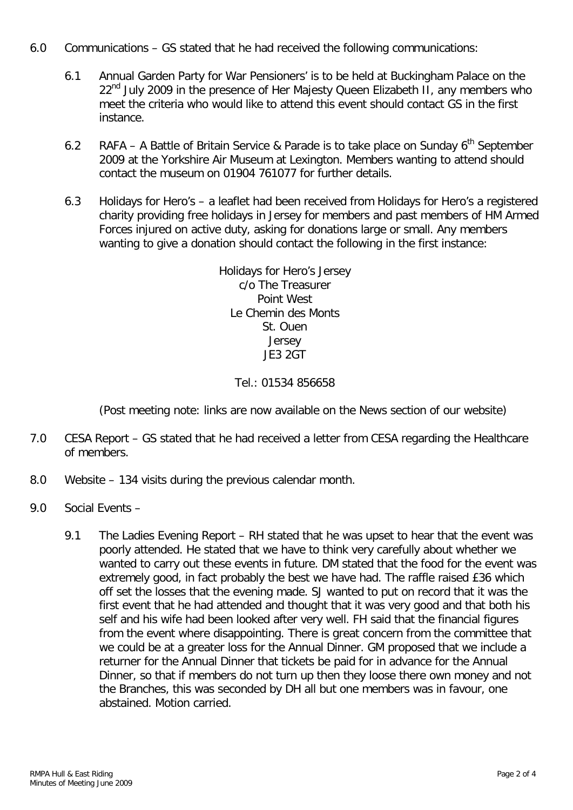- 6.0 Communications GS stated that he had received the following communications:
	- 6.1 Annual Garden Party for War Pensioners' is to be held at Buckingham Palace on the 22<sup>nd</sup> July 2009 in the presence of Her Majesty Queen Elizabeth II, any members who meet the criteria who would like to attend this event should contact GS in the first instance.
	- 6.2 RAFA A Battle of Britain Service & Parade is to take place on Sunday  $6<sup>th</sup>$  September 2009 at the Yorkshire Air Museum at Lexington. Members wanting to attend should contact the museum on 01904 761077 for further details.
	- 6.3 Holidays for Hero's a leaflet had been received from Holidays for Hero's a registered charity providing free holidays in Jersey for members and past members of HM Armed Forces injured on active duty, asking for donations large or small. Any members wanting to give a donation should contact the following in the first instance:

Holidays for Hero's Jersey c/o The Treasurer Point West Le Chemin des Monts St. Ouen Jersey JE3 2GT

### Tel.: 01534 856658

(Post meeting note: links are now available on the News section of our website)

- 7.0 CESA Report GS stated that he had received a letter from CESA regarding the Healthcare of members.
- 8.0 Website 134 visits during the previous calendar month.
- 9.0 Social Events
	- 9.1 The Ladies Evening Report RH stated that he was upset to hear that the event was poorly attended. He stated that we have to think very carefully about whether we wanted to carry out these events in future. DM stated that the food for the event was extremely good, in fact probably the best we have had. The raffle raised £36 which off set the losses that the evening made. SJ wanted to put on record that it was the first event that he had attended and thought that it was very good and that both his self and his wife had been looked after very well. FH said that the financial figures from the event where disappointing. There is great concern from the committee that we could be at a greater loss for the Annual Dinner. GM proposed that we include a returner for the Annual Dinner that tickets be paid for in advance for the Annual Dinner, so that if members do not turn up then they loose there own money and not the Branches, this was seconded by DH all but one members was in favour, one abstained. Motion carried.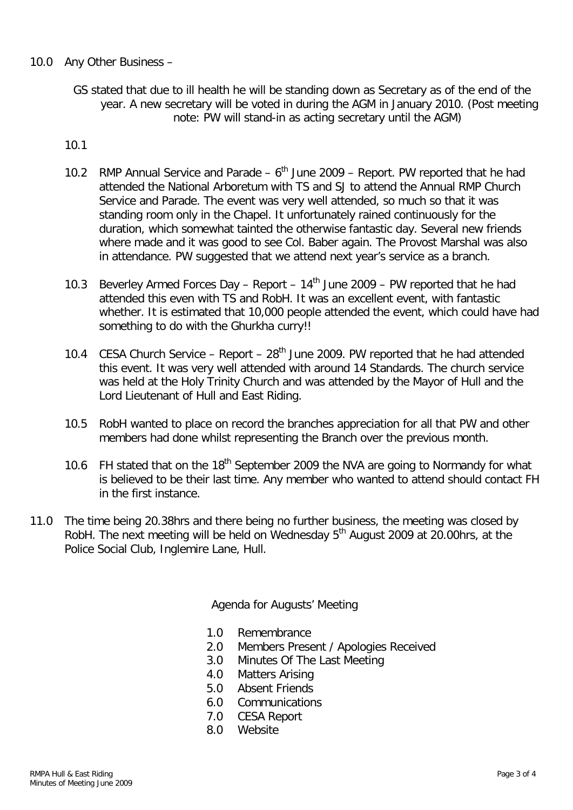### 10.0 Any Other Business –

GS stated that due to ill health he will be standing down as Secretary as of the end of the year. A new secretary will be voted in during the AGM in January 2010. (Post meeting note: PW will stand-in as acting secretary until the AGM)

#### 10.1

- 10.2 RMP Annual Service and Parade  $6<sup>th</sup>$  June 2009 Report. PW reported that he had attended the National Arboretum with TS and SJ to attend the Annual RMP Church Service and Parade. The event was very well attended, so much so that it was standing room only in the Chapel. It unfortunately rained continuously for the duration, which somewhat tainted the otherwise fantastic day. Several new friends where made and it was good to see Col. Baber again. The Provost Marshal was also in attendance. PW suggested that we attend next year's service as a branch.
- 10.3 Beverley Armed Forces Day Report  $14<sup>th</sup>$  June 2009 PW reported that he had attended this even with TS and RobH. It was an excellent event, with fantastic whether. It is estimated that 10,000 people attended the event, which could have had something to do with the Ghurkha curry!!
- 10.4 CESA Church Service Report  $28<sup>th</sup>$  June 2009. PW reported that he had attended this event. It was very well attended with around 14 Standards. The church service was held at the Holy Trinity Church and was attended by the Mayor of Hull and the Lord Lieutenant of Hull and East Riding.
- 10.5 RobH wanted to place on record the branches appreciation for all that PW and other members had done whilst representing the Branch over the previous month.
- 10.6 FH stated that on the  $18<sup>th</sup>$  September 2009 the NVA are going to Normandy for what is believed to be their last time. Any member who wanted to attend should contact FH in the first instance.
- 11.0 The time being 20.38hrs and there being no further business, the meeting was closed by RobH. The next meeting will be held on Wednesday 5<sup>th</sup> August 2009 at 20.00hrs, at the Police Social Club, Inglemire Lane, Hull.

Agenda for Augusts' Meeting

- 1.0 Remembrance
- 2.0 Members Present / Apologies Received
- 3.0 Minutes Of The Last Meeting
- 4.0 Matters Arising
- 5.0 Absent Friends
- 6.0 Communications
- 7.0 CESA Report
- 8.0 Website